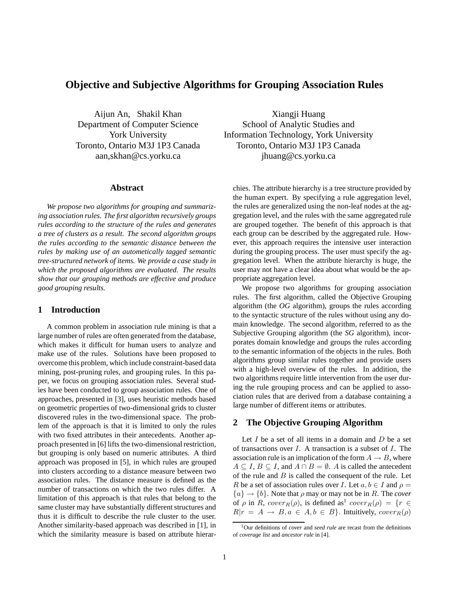# **Objective and Subjective Algorithms for Grouping Association Rules**

Aijun An, Shakil Khan Department of Computer Science York University Toronto, Ontario M3J 1P3 Canada aan,skhan@cs.yorku.ca

## **Abstract**

*We propose two algorithms for grouping and summarizing association rules. The first algorithm recursively groups rules according to the structure of the rules and generates a tree of clusters as a result. The second algorithm groups the rules according to the semantic distance between the rules by making use of an autometically tagged semantic tree-structured network of items. We provide a case study in which the proposed algorithms are evaluated. The results show that our grouping methods are effective and produce good grouping results.*

# **1 Introduction**

A common problem in association rule mining is that a large number of rules are often generated from the database, which makes it difficult for human users to analyze and make use of the rules. Solutions have been proposed to overcome this problem, which include constraint-based data mining, post-pruning rules, and grouping rules. In this paper, we focus on grouping association rules. Several studies have been conducted to group association rules. One of approaches, presented in [3], uses heuristic methods based on geometric properties of two-dimensional grids to cluster discovered rules in the two-dimensional space. The problem of the approach is that it is limited to only the rules with two fixed attributes in their antecedents. Another approach presented in [6] lifts the two-dimensional restriction, but grouping is only based on numeric attributes. A third approach was proposed in [5], in which rules are grouped into clusters according to a distance measure between two association rules. The distance measure is defined as the number of transactions on which the two rules differ. A limitation of this approach is that rules that belong to the same cluster may have substantially different structures and thus it is difficult to describe the rule cluster to the user. Another similarity-based approach was described in [1], in which the similarity measure is based on attribute hierar-

Xiangji Huang School of Analytic Studies and Information Technology, York University Toronto, Ontario M3J 1P3 Canada jhuang@cs.yorku.ca

chies. The attribute hierarchy is a tree structure provided by the human expert. By specifying a rule aggregation level, the rules are generalized using the non-leaf nodes at the aggregation level, and the rules with the same aggregated rule are grouped together. The benefit of this approach is that each group can be described by the aggregated rule. However, this approach requires the intensive user interaction during the grouping process. The user must specify the aggregation level. When the attribute hierarchy is huge, the user may not have a clear idea about what would be the appropriate aggregation level.

We propose two algorithms for grouping association rules. The first algorithm, called the Objective Grouping algorithm (the *OG* algorithm), groups the rules according to the syntactic structure of the rules without using any domain knowledge. The second algorithm, referred to as the Subjective Grouping algorithm (the *SG* algorithm), incorporates domain knowledge and groups the rules according to the semantic information of the objects in the rules. Both algorithms group similar rules together and provide users with a high-level overview of the rules. In addition, the two algorithms require little intervention from the user during the rule grouping process and can be applied to association rules that are derived from a database containing a large number of different items or attributes.

# **2 The Objective Grouping Algorithm**

Let  $I$  be a set of all items in a domain and  $D$  be a set of transactions over  $I$ . A transaction is a subset of  $I$ . The association rule is an implication of the form  $A \rightarrow B$ , where  $A \subseteq I$ ,  $B \subseteq I$ , and  $A \cap B = \emptyset$ . A is called the antecedent of the rule and  $B$  is called the consequent of the rule. Let R be a set of association rules over I. Let  $a, b \in I$  and  $\rho =$  ${a} \rightarrow {b}$ . Note that  $\rho$  may or may not be in R. The *cover* of  $\rho$  in R,  $cover_R(\rho)$ , is defined as<sup>1</sup>  $cover_R(\rho) = \{r \in$  $R|r = A \rightarrow B, a \in A, b \in B$ . Intuitively,  $cover_R(\rho)$ 

<sup>1</sup>Our definitions of *cover* and *seed rule* are recast from the definitions of *coverage list* and *ancestor rule* in [4].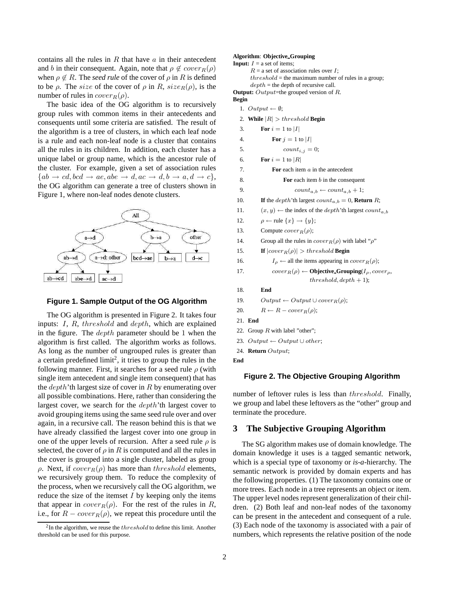contains all the rules in  $R$  that have  $\alpha$  in their antecedent and b in their consequent. Again, note that  $\rho \notin cover_R(\rho)$ when  $\rho \notin R$ . The *seed rule* of the cover of  $\rho$  in R is defined to be  $\rho$ . The size of the cover of  $\rho$  in R, size  $R(\rho)$ , is the number of rules in  $cover_R(\rho)$ .

The basic idea of the OG algorithm is to recursively group rules with common items in their antecedents and consequents until some criteria are satisfied. The result of the algorithm is a tree of clusters, in which each leaf node is a rule and each non-leaf node is a cluster that contains all the rules in its children. In addition, each cluster has a unique label or group name, which is the ancestor rule of the cluster. For example, given a set of association rules  ${ab \rightarrow cd, bcd \rightarrow ae, abe \rightarrow d, ac \rightarrow d, b \rightarrow a, d \rightarrow c},$ the OG algorithm can generate a tree of clusters shown in Figure 1, where non-leaf nodes denote clusters.



#### **Figure 1. Sample Output of the OG Algorithm**

The OG algorithm is presented in Figure 2. It takes four inputs: I, R, threshold and depth, which are explained in the figure. The  $depth$  parameter should be 1 when the algorithm is first called. The algorithm works as follows. As long as the number of ungrouped rules is greater than a certain predefined  $\text{limit}^2$ , it tries to group the rules in the following manner. First, it searches for a seed rule  $\rho$  (with single item antecedent and single item consequent) that has the  $depth$ 'th largest size of cover in R by enumerating over all possible combinations. Here, rather than considering the largest cover, we search for the depth'th largest cover to avoid grouping items using the same seed rule over and over again, in a recursive call. The reason behind this is that we have already classified the largest cover into one group in one of the upper levels of recursion. After a seed rule  $\rho$  is selected, the cover of  $\rho$  in R is computed and all the rules in the cover is grouped into a single cluster, labeled as group ρ. Next, if  $cover_R(\rho)$  has more than threshold elements, we recursively group them. To reduce the complexity of the process, when we recursively call the OG algorithm, we reduce the size of the itemset  $I$  by keeping only the items that appear in  $cover_R(\rho)$ . For the rest of the rules in R, i.e., for  $R - cover_R(\rho)$ , we repeat this procedure until the

# **Algorithm**: **Objective Grouping**

```
Input: I = a set of items;
       R = a set of association rules over I;
      threshold = the maximum number of rules in a group;
       depth = the depth of recursive call.
Output: Output=the grouped version of R.
Begin
  1. Output \leftarrow \emptyset;2. While |R| > threshold Begin
  3. For i = 1 to |I|
  4. For j = 1 to |I|
  5. count<sub>i,j</sub> = 0;
  6. For i = 1 to |R|7. For each item a in the antecedent
  8. For each item b in the consequent
  9. count<sub>a,b</sub> \leftarrow count_{a,b} + 1;10. If the depth'th largest count_{a,b} = 0, Return R;
 11. (x, y) \leftarrow the index of the depth'th largest count<sub>a, b</sub>
 12. \rho \leftarrow \text{rule} \{x\} \rightarrow \{y\};13. Compute cover_R(\rho);
 14. Group all the rules in cover_R(\rho) with label "\rho"
 15. If |cover_R(\rho)| > threshold Begin
 16. I_{\rho} \leftarrow all the items appearing in cover_R(\rho);
 17. cover_R(\rho) \leftarrow \textbf{Objective\_Grouping}(I_\rho, cover_\rho,threshold, depth + 1:
 18. End
 19. Output \leftarrow Output \cup cover_R(\rho);20. R \leftarrow R - cover_R(\rho);21. End
 22. Group R with label "other";
 23. Output ← Output \cup other;
 24. Return Output;
End
```
## **Figure 2. The Objective Grouping Algorithm**

number of leftover rules is less than threshold. Finally, we group and label these leftovers as the "other" group and terminate the procedure.

# **3 The Subjective Grouping Algorithm**

The SG algorithm makes use of domain knowledge. The domain knowledge it uses is a tagged semantic network, which is a special type of taxonomy or *is-a-*hierarchy. The semantic network is provided by domain experts and has the following properties. (1) The taxonomy contains one or more trees. Each node in a tree represents an object or item. The upper level nodes represent generalization of their children. (2) Both leaf and non-leaf nodes of the taxonomy can be present in the antecedent and consequent of a rule. (3) Each node of the taxonomy is associated with a pair of numbers, which represents the relative position of the node

 $2$ In the algorithm, we reuse the  $threshold$  to define this limit. Another threshold can be used for this purpose.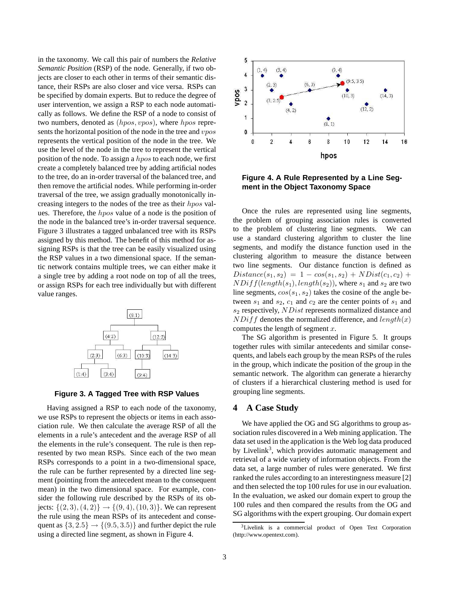in the taxonomy. We call this pair of numbers the *Relative Semantic Position* (RSP) of the node. Generally, if two objects are closer to each other in terms of their semantic distance, their RSPs are also closer and vice versa. RSPs can be specified by domain experts. But to reduce the degree of user intervention, we assign a RSP to each node automatically as follows. We define the RSP of a node to consist of two numbers, denoted as  $(hpos, vpos)$ , where hpos represents the horizontal position of the node in the tree and *vpos* represents the vertical position of the node in the tree. We use the level of the node in the tree to represent the vertical position of the node. To assign a hpos to each node, we first create a completely balanced tree by adding artificial nodes to the tree, do an in-order traversal of the balanced tree, and then remove the artificial nodes. While performing in-order traversal of the tree, we assign gradually monotonically increasing integers to the nodes of the tree as their hpos values. Therefore, the hpos value of a node is the position of the node in the balanced tree's in-order traversal sequence. Figure 3 illustrates a tagged unbalanced tree with its RSPs assigned by this method. The benefit of this method for assigning RSPs is that the tree can be easily visualized using the RSP values in a two dimensional space. If the semantic network contains multiple trees, we can either make it a single tree by adding a root node on top of all the trees, or assign RSPs for each tree individually but with different value ranges.



**Figure 3. A Tagged Tree with RSP Values**

Having assigned a RSP to each node of the taxonomy, we use RSPs to represent the objects or items in each association rule. We then calculate the average RSP of all the elements in a rule's antecedent and the average RSP of all the elements in the rule's consequent. The rule is then represented by two mean RSPs. Since each of the two mean RSPs corresponds to a point in a two-dimensional space, the rule can be further represented by a directed line segment (pointing from the antecedent mean to the consequent mean) in the two dimensional space. For example, consider the following rule described by the RSPs of its objects:  $\{(2, 3), (4, 2)\} \rightarrow \{(9, 4), (10, 3)\}.$  We can represent the rule using the mean RSPs of its antecedent and consequent as  $\{3, 2.5\} \rightarrow \{(9.5, 3.5)\}$  and further depict the rule using a directed line segment, as shown in Figure 4.



**Figure 4. A Rule Represented by a Line Segment in the Object Taxonomy Space**

Once the rules are represented using line segments, the problem of grouping association rules is converted to the problem of clustering line segments. We can use a standard clustering algorithm to cluster the line segments, and modify the distance function used in the clustering algorithm to measure the distance between two line segments. Our distance function is defined as  $Distance(s_1, s_2) = 1 - cos(s_1, s_2) + NDist(c_1, c_2) +$  $NDiff(length(s_1), length(s_2))$ , where  $s_1$  and  $s_2$  are two line segments,  $cos(s_1, s_2)$  takes the cosine of the angle between  $s_1$  and  $s_2$ ,  $c_1$  and  $c_2$  are the center points of  $s_1$  and  $s_2$  respectively,  $NDist$  represents normalized distance and  $NDiff$  denotes the normalized difference, and  $length(x)$ computes the length of segment  $x$ .

The SG algorithm is presented in Figure 5. It groups together rules with similar antecedents and similar consequents, and labels each group by the mean RSPs of the rules in the group, which indicate the position of the group in the semantic network. The algorithm can generate a hierarchy of clusters if a hierarchical clustering method is used for grouping line segments.

# **4 A Case Study**

We have applied the OG and SG algorithms to group association rules discovered in a Web mining application. The data set used in the application is the Web log data produced by Livelink<sup>3</sup>, which provides automatic management and retrieval of a wide variety of information objects. From the data set, a large number of rules were generated. We first ranked the rules according to an interestingness measure [2] and then selected the top 100 rules for use in our evaluation. In the evaluation, we asked our domain expert to group the 100 rules and then compared the results from the OG and SG algorithms with the expert grouping. Our domain expert

<sup>3</sup>Livelink is a commercial product of Open Text Corporation (http://www.opentext.com).